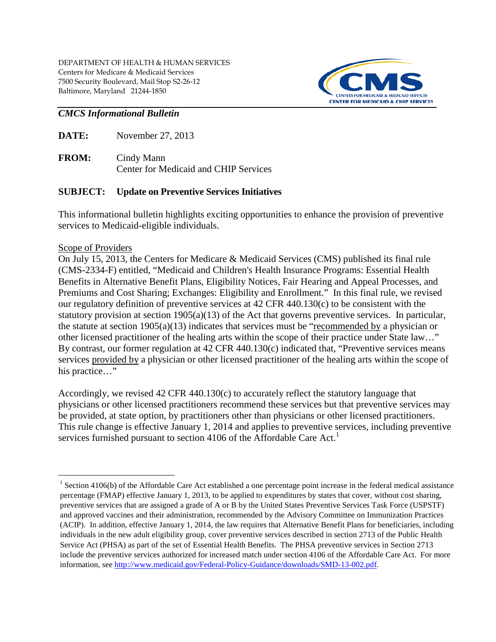

# *CMCS Informational Bulletin*

**DATE:** November 27, 2013

**FROM:** Cindy Mann Center for Medicaid and CHIP Services

# **SUBJECT: Update on Preventive Services Initiatives**

This informational bulletin highlights exciting opportunities to enhance the provision of preventive services to Medicaid-eligible individuals.

# Scope of Providers

 $\overline{a}$ 

On July 15, 2013, the Centers for Medicare & Medicaid Services (CMS) published its final rule (CMS-2334-F) entitled, "Medicaid and Children's Health Insurance Programs: Essential Health Benefits in Alternative Benefit Plans, Eligibility Notices, Fair Hearing and Appeal Processes, and Premiums and Cost Sharing; Exchanges: Eligibility and Enrollment." In this final rule, we revised our regulatory definition of preventive services at 42 CFR 440.130(c) to be consistent with the statutory provision at section 1905(a)(13) of the Act that governs preventive services. In particular, the statute at section 1905(a)(13) indicates that services must be "recommended by a physician or other licensed practitioner of the healing arts within the scope of their practice under State law…" By contrast, our former regulation at 42 CFR 440.130(c) indicated that, "Preventive services means services provided by a physician or other licensed practitioner of the healing arts within the scope of his practice..."

Accordingly, we revised 42 CFR 440.130(c) to accurately reflect the statutory language that physicians or other licensed practitioners recommend these services but that preventive services may be provided, at state option, by practitioners other than physicians or other licensed practitioners. This rule change is effective January 1, 2014 and applies to preventive services, including preventive services furnished pursuant to section 4106 of the Affordable Care Act.<sup>1</sup>

<sup>&</sup>lt;sup>1</sup> Section 4106(b) of the Affordable Care Act established a one percentage point increase in the federal medical assistance percentage (FMAP) effective January 1, 2013, to be applied to expenditures by states that cover, without cost sharing, preventive services that are assigned a grade of A or B by the United States Preventive Services Task Force (USPSTF) and approved vaccines and their administration, recommended by the Advisory Committee on Immunization Practices (ACIP). In addition, effective January 1, 2014, the law requires that Alternative Benefit Plans for beneficiaries, including individuals in the new adult eligibility group, cover preventive services described in section 2713 of the Public Health Service Act (PHSA) as part of the set of Essential Health Benefits. The PHSA preventive services in Section 2713 include the preventive services authorized for increased match under section 4106 of the Affordable Care Act. For more information, see [http://www.medicaid.gov/Federal-Policy-Guidance/downloads/SMD-13-002.pdf.](http://www.medicaid.gov/Federal-Policy-Guidance/downloads/SMD-13-002.pdf)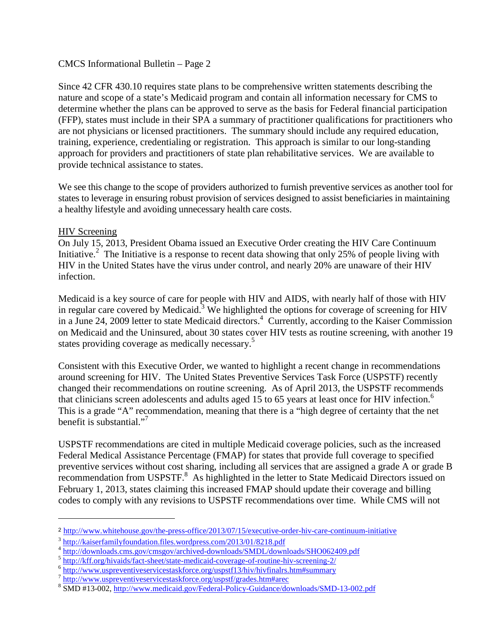### CMCS Informational Bulletin – Page 2

Since 42 CFR 430.10 requires state plans to be comprehensive written statements describing the nature and scope of a state's Medicaid program and contain all information necessary for CMS to determine whether the plans can be approved to serve as the basis for Federal financial participation (FFP), states must include in their SPA a summary of practitioner qualifications for practitioners who are not physicians or licensed practitioners. The summary should include any required education, training, experience, credentialing or registration. This approach is similar to our long-standing approach for providers and practitioners of state plan rehabilitative services. We are available to provide technical assistance to states.

We see this change to the scope of providers authorized to furnish preventive services as another tool for states to leverage in ensuring robust provision of services designed to assist beneficiaries in maintaining a healthy lifestyle and avoiding unnecessary health care costs.

# HIV Screening

 $\overline{a}$ 

On July 15, 2013, President Obama issued an Executive Order creating the HIV Care Continuum Initiative.<sup>2</sup> The Initiative is a response to recent data showing that only 25% of people living with HIV in the United States have the virus under control, and nearly 20% are unaware of their HIV infection.

Medicaid is a key source of care for people with HIV and AIDS, with nearly half of those with HIV in regular care covered by Medicaid.<sup>3</sup> We highlighted the options for coverage of screening for HIV in a June 24, 2009 letter to state Medicaid directors.<sup>4</sup> Currently, according to the Kaiser Commission on Medicaid and the Uninsured, about 30 states cover HIV tests as routine screening, with another 19 states providing coverage as medically necessary.<sup>5</sup>

Consistent with this Executive Order, we wanted to highlight a recent change in recommendations around screening for HIV. The United States Preventive Services Task Force (USPSTF) recently changed their recommendations on routine screening. As of April 2013, the USPSTF recommends that clinicians screen adolescents and adults aged  $15$  to 65 years at least once for HIV infection.<sup>6</sup> This is a grade "A" recommendation, meaning that there is a "high degree of certainty that the net benefit is substantial."<sup>7</sup>

USPSTF recommendations are cited in multiple Medicaid coverage policies, such as the increased Federal Medical Assistance Percentage (FMAP) for states that provide full coverage to specified preventive services without cost sharing, including all services that are assigned a grade A or grade B recommendation from USPSTF.<sup>8</sup> As highlighted in the letter to State Medicaid Directors issued on February 1, 2013, states claiming this increased FMAP should update their coverage and billing codes to comply with any revisions to USPSTF recommendations over time. While CMS will not

<sup>2</sup> <http://www.whitehouse.gov/the-press-office/2013/07/15/executive-order-hiv-care-continuum-initiative>

<sup>&</sup>lt;sup>3</sup> <http://kaiserfamilyfoundation.files.wordpress.com/2013/01/8218.pdf>

<sup>&</sup>lt;sup>4</sup> <http://downloads.cms.gov/cmsgov/archived-downloads/SMDL/downloads/SHO062409.pdf><br>
<sup>5</sup> http://kff.org/hivaids/fact-sheet/state-medicaid-coverage-of-routine-hiv-screening-2/<br>
<sup>6</sup> http://www.uspreventiveservicestaskforce.o

<sup>&</sup>lt;sup>8</sup> SMD #13-002,<http://www.medicaid.gov/Federal-Policy-Guidance/downloads/SMD-13-002.pdf>